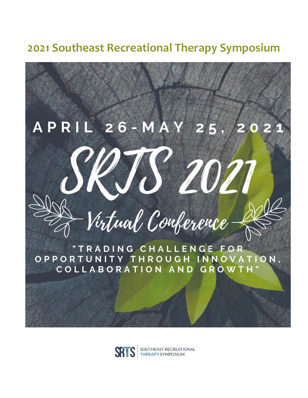**2021 Southeast Recreational Therapy Symposium** 



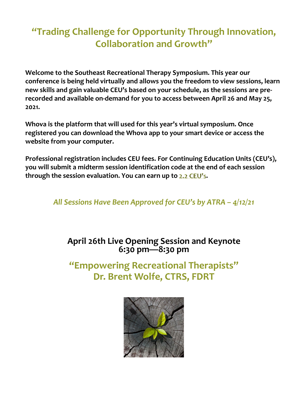# **"Trading Challenge for Opportunity Through Innovation, Collaboration and Growth"**

**Welcome to the Southeast Recreational Therapy Symposium. This year our conference is being held virtually and allows you the freedom to view sessions, learn new skills and gain valuable CEU's based on your schedule, as the sessions are prerecorded and available on-demand for you to access between April 26 and May 25, 2021.** 

**Whova is the platform that will used for this year's virtual symposium. Once registered you can download the Whova app to your smart device or access the website from your computer.**

**Professional registration includes CEU fees. For Continuing Education Units (CEU's), you will submit a midterm session identification code at the end of each session**  through the session evaluation. You can earn up to 2.2 CEU's.

*All Sessions Have Been Approved for CEU's by ATRA – 4/12/21*

## **April 26th Live Opening Session and Keynote 6:30 pm—8:30 pm**

**"Empowering Recreational Therapists" Dr. Brent Wolfe, CTRS, FDRT**

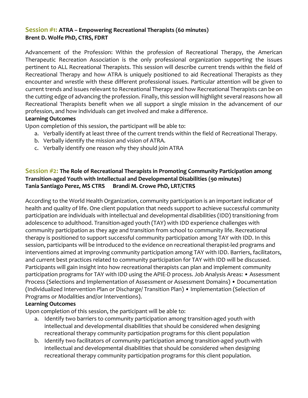#### **Session #1: ATRA – Empowering Recreational Therapists (60 minutes) Brent D. Wolfe PhD, CTRS, FDRT**

Advancement of the Profession: Within the profession of Recreational Therapy, the American Therapeutic Recreation Association is the only professional organization supporting the issues pertinent to ALL Recreational Therapists. This session will describe current trends within the field of Recreational Therapy and how ATRA is uniquely positioned to aid Recreational Therapists as they encounter and wrestle with these different professional issues. Particular attention will be given to current trends and issues relevant to Recreational Therapy and how Recreational Therapists can be on the cutting edge of advancing the profession. Finally, this session will highlight several reasons how all Recreational Therapists benefit when we all support a single mission in the advancement of our profession, and how individuals can get involved and make a difference.

#### **Learning Outcomes**

Upon completion of this session, the participant will be able to:

- a. Verbally identify at least three of the current trends within the field of Recreational Therapy.
- b. Verbally identify the mission and vision of ATRA.
- c. Verbally identify one reason why they should join ATRA

#### **Session #2: The Role of Recreational Therapists in Promoting Community Participation among Transition-aged Youth with Intellectual and Developmental Disabilities (90 minutes) Tania Santiago Perez, MS CTRS Brandi M. Crowe PhD, LRT/CTRS**

According to the World Health Organization, community participation is an important indicator of health and quality of life. One client population that needs support to achieve successful community participation are individuals with intellectual and developmental disabilities (IDD) transitioning from adolescence to adulthood. Transition-aged youth (TAY) with IDD experience challenges with community participation as they age and transition from school to community life. Recreational therapy is positioned to support successful community participation among TAY with IDD. In this session, participants will be introduced to the evidence on recreational therapist-led programs and interventions aimed at improving community participation among TAY with IDD. Barriers, facilitators, and current best practices related to community participation for TAY with IDD will be discussed. Participants will gain insight into how recreational therapists can plan and implement community participation programs for TAY with IDD using the APIE-D process. Job Analysis Areas: • Assessment Process (Selections and Implementation of Assessment or Assessment Domains) • Documentation (Individualized Intervention Plan or Discharge/ Transition Plan) • Implementation (Selection of Programs or Modalities and/or Interventions).

#### **Learning Outcomes**

- a. Identify two barriers to community participation among transition-aged youth with intellectual and developmental disabilities that should be considered when designing recreational therapy community participation programs for this client population
- b. Identify two facilitators of community participation among transition-aged youth with intellectual and developmental disabilities that should be considered when designing recreational therapy community participation programs for this client population.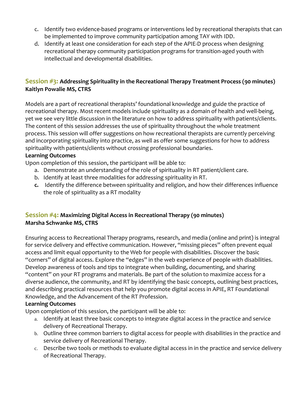- c. Identify two evidence-based programs or interventions led by recreational therapists that can be implemented to improve community participation among TAY with IDD.
- d. Identify at least one consideration for each step of the APIE-D process when designing recreational therapy community participation programs for transition-aged youth with intellectual and developmental disabilities.

#### **Session #3: Addressing Spirituality in the Recreational Therapy Treatment Process (90 minutes) Kaitlyn Powalie MS, CTRS**

Models are a part of recreational therapists' foundational knowledge and guide the practice of recreational therapy. Most recent models include spirituality as a domain of health and well-being, yet we see very little discussion in the literature on how to address spirituality with patients/clients. The content of this session addresses the use of spirituality throughout the whole treatment process. This session will offer suggestions on how recreational therapists are currently perceiving and incorporating spirituality into practice, as well as offer some suggestions for how to address spirituality with patients/clients without crossing professional boundaries.

#### **Learning Outcomes**

Upon completion of this session, the participant will be able to:

- a. Demonstrate an understanding of the role of spirituality in RT patient/client care.
- b. Identify at least three modalities for addressing spirituality in RT.
- **c.** Identify the difference between spirituality and religion, and how their differences influence the role of spirituality as a RT modality

#### **Session #4: Maximizing Digital Access in Recreational Therapy (90 minutes) Marsha Schwanke MS, CTRS**

Ensuring access to Recreational Therapy programs, research, and media (online and print) is integral for service delivery and effective communication. However, "missing pieces" often prevent equal access and limit equal opportunity to the Web for people with disabilities. Discover the basic "corners" of digital access. Explore the "edges" in the web experience of people with disabilities. Develop awareness of tools and tips to integrate when building, documenting, and sharing "content" on your RT programs and materials. Be part of the solution to maximize access for a diverse audience, the community, and RT by identifying the basic concepts, outlining best practices, and describing practical resources that help you promote digital access in APIE, RT Foundational Knowledge, and the Advancement of the RT Profession.

#### **Learning Outcomes**

- a. Identify at least three basic concepts to integrate digital access in the practice and service delivery of Recreational Therapy.
- b. Outline three common barriers to digital access for people with disabilities in the practice and service delivery of Recreational Therapy.
- c. Describe two tools or methods to evaluate digital access in in the practice and service delivery of Recreational Therapy.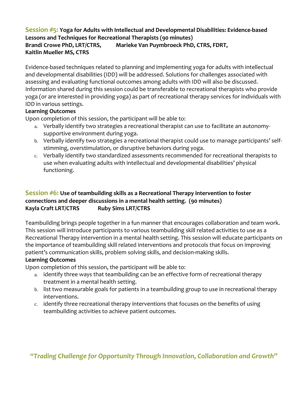#### **Session #5: Yoga for Adults with Intellectual and Developmental Disabilities: Evidence-based Lessons and Techniques for Recreational Therapists (90 minutes)**

**Brandi Crowe PhD, LRT/CTRS, Marieke Van Puymbroeck PhD, CTRS, FDRT, Kaitlin Mueller MS, CTRS**

Evidence-based techniques related to planning and implementing yoga for adults with intellectual and developmental disabilities (IDD) will be addressed. Solutions for challenges associated with assessing and evaluating functional outcomes among adults with IDD will also be discussed. Information shared during this session could be transferable to recreational therapists who provide yoga (or are interested in providing yoga) as part of recreational therapy services for individuals with IDD in various settings.

#### **Learning Outcomes**

Upon completion of this session, the participant will be able to:

- a. Verbally identify two strategies a recreational therapist can use to facilitate an autonomysupportive environment during yoga.
- b. Verbally identify two strategies a recreational therapist could use to manage participants' selfstimming, overstimulation, or disruptive behaviors during yoga.
- c. Verbally identify two standardized assessments recommended for recreational therapists to use when evaluating adults with intellectual and developmental disabilities' physical functioning.

#### **Session #6: Use of teambuilding skills as a Recreational Therapy intervention to foster connections and deeper discussions in a mental health setting. (90 minutes) Kayla Craft LRT/CTRS Ruby Sims LRT/CTRS**

Teambuilding brings people together in a fun manner that encourages collaboration and team work. This session will introduce participants to various teambuilding skill related activities to use as a Recreational Therapy intervention in a mental health setting. This session will educate participants on the importance of teambuilding skill related interventions and protocols that focus on improving patient's communication skills, problem solving skills, and decision-making skills.

#### **Learning Outcomes**

Upon completion of this session, the participant will be able to:

- a. identify three ways that teambuilding can be an effective form of recreational therapy treatment in a mental health setting.
- b. list two measurable goals for patients in a teambuilding group to use in recreational therapy interventions.
- c. identify three recreational therapy interventions that focuses on the benefits of using teambuilding activities to achieve patient outcomes.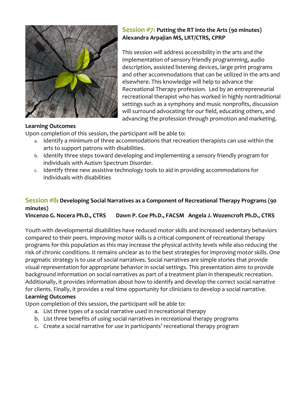

#### **Session #7: Putting the RT into the Arts (90 minutes) Alexandra Arpajian MS, LRT/CTRS, CPRP**

This session will address accessibility in the arts and the implementation of sensory friendly programming, audio description, assisted listening devices, large print programs and other accommodations that can be utilized in the arts and elsewhere. This knowledge will help to advance the Recreational Therapy profession. Led by an entrepreneurial recreational therapist who has worked in highly nontraditional settings such as a symphony and music nonprofits, discussion will surround advocating for our field, educating others, and advancing the profession through promotion and marketing.

#### **Learning Outcomes**

Upon completion of this session, the participant will be able to:

- a. Identify a minimum of three accommodations that recreation therapists can use within the arts to support patrons with disabilities.
- b. Identify three steps toward developing and implementing a sensory friendly program for individuals with Autism Spectrum Disorder.
- c. Identify three new assistive technology tools to aid in providing accommodations for individuals with disabilities

#### **Session #8: Developing Social Narratives as a Component of Recreational Therapy Programs (90 minutes)**

**Vincenzo G. Nocera Ph.D., CTRS Dawn P. Coe Ph.D., FACSM Angela J. Wozencroft Ph.D., CTRS**

Youth with developmental disabilities have reduced motor skills and increased sedentary behaviors compared to their peers. Improving motor skills is a critical component of recreational therapy programs for this population as this may increase the physical activity levels while also reducing the risk of chronic conditions. It remains unclear as to the best strategies for improving motor skills. One pragmatic strategy is to use of social narratives. Social narratives are simple stories that provide visual representation for appropriate behavior in social settings. This presentation aims to provide background information on social narratives as part of a treatment plan in therapeutic recreation. Additionally, it provides information about how to identify and develop the correct social narrative for clients. Finally, it provides a real time opportunity for clinicians to develop a social narrative. **Learning Outcomes**

- a. List three types of a social narrative used in recreational therapy
- b. List three benefits of using social narratives in recreational therapy programs
- c. Create a social narrative for use in participants' recreational therapy program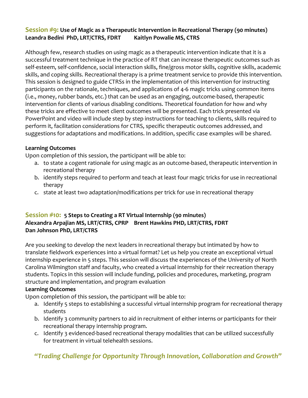#### **Session #9: Use of Magic as a Therapeutic Intervention in Recreational Therapy (90 minutes) Leandra Bedini PhD, LRT/CTRS, FDRT Kaitlyn Powalie MS, CTRS**

Although few, research studies on using magic as a therapeutic intervention indicate that it is a successful treatment technique in the practice of RT that can increase therapeutic outcomes such as self-esteem, self-confidence, social interaction skills, fine/gross motor skills, cognitive skills, academic skills, and coping skills. Recreational therapy is a prime treatment service to provide this intervention. This session is designed to guide CTRSs in the implementation of this intervention for instructing participants on the rationale, techniques, and applications of 4-6 magic tricks using common items (i.e., money, rubber bands, etc.) that can be used as an engaging, outcome-based, therapeutic intervention for clients of various disabling conditions. Theoretical foundation for how and why these tricks are effective to meet client outcomes will be presented. Each trick presented via PowerPoint and video will include step by step instructions for teaching to clients, skills required to perform it, facilitation considerations for CTRS, specific therapeutic outcomes addressed, and suggestions for adaptations and modifications. In addition, specific case examples will be shared.

#### **Learning Outcomes**

Upon completion of this session, the participant will be able to:

- a. to state a cogent rationale for using magic as an outcome-based, therapeutic intervention in recreational therapy
- b. identify steps required to perform and teach at least four magic tricks for use in recreational therapy
- c. state at least two adaptation/modifications per trick for use in recreational therapy

#### **Session #10: 5 Steps to Creating a RT Virtual Internship (90 minutes) Alexandra Arpajian MS, LRT/CTRS, CPRP Brent Hawkins PHD, LRT/CTRS, FDRT Dan Johnson PhD, LRT/CTRS**

Are you seeking to develop the next leaders in recreational therapy but intimated by how to translate fieldwork experiences into a virtual format? Let us help you create an exceptional virtual internship experience in 5 steps. This session will discuss the experiences of the University of North Carolina Wilmington staff and faculty, who created a virtual internship for their recreation therapy students. Topics in this session will include funding, policies and procedures, marketing, program structure and implementation, and program evaluation

#### **Learning Outcomes**

Upon completion of this session, the participant will be able to:

- a. Identify 5 steps to establishing a successful virtual internship program for recreational therapy students
- b. Identify 3 community partners to aid in recruitment of either interns or participants for their recreational therapy internship program.
- c. Identify 3 evidenced-based recreational therapy modalities that can be utilized successfully for treatment in virtual telehealth sessions.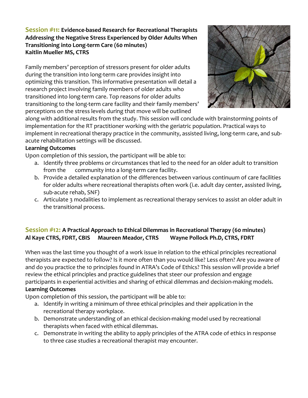#### **Session #11: Evidence-based Research for Recreational Therapists Addressing the Negative Stress Experienced by Older Adults When Transitioning into Long-term Care (60 minutes) Kaitlin Mueller MS, CTRS**

Family members' perception of stressors present for older adults during the transition into long-term care provides insight into optimizing this transition. This informative presentation will detail a research project involving family members of older adults who transitioned into long-term care. Top reasons for older adults transitioning to the long-term care facility and their family members' perceptions on the stress levels during that move will be outlined



along with additional results from the study. This session will conclude with brainstorming points of implementation for the RT practitioner working with the geriatric population. Practical ways to implement in recreational therapy practice in the community, assisted living, long-term care, and subacute rehabilitation settings will be discussed.

#### **Learning Outcomes**

Upon completion of this session, the participant will be able to:

- a. Identify three problems or circumstances that led to the need for an older adult to transition from the community into a long-term care facility.
- b. Provide a detailed explanation of the differences between various continuum of care facilities for older adults where recreational therapists often work (i.e. adult day center, assisted living, sub-acute rehab, SNF)
- c. Articulate 3 modalities to implement as recreational therapy services to assist an older adult in the transitional process.

#### **Session #12: A Practical Approach to Ethical Dilemmas in Recreational Therapy (60 minutes) Al Kaye CTRS, FDRT, CBIS Maureen Meador, CTRS Wayne Pollock Ph.D, CTRS, FDRT**

When was the last time you thought of a work issue in relation to the ethical principles recreational therapists are expected to follow? Is it more often than you would like? Less often? Are you aware of and do you practice the 10 principles found in ATRA's Code of Ethics? This session will provide a brief review the ethical principles and practice guidelines that steer our profession and engage participants in experiential activities and sharing of ethical dilemmas and decision-making models. **Learning Outcomes**

- a. Identify in writing a minimum of three ethical principles and their application in the recreational therapy workplace.
- b. Demonstrate understanding of an ethical decision-making model used by recreational therapists when faced with ethical dilemmas.
- c. Demonstrate in writing the ability to apply principles of the ATRA code of ethics in response to three case studies a recreational therapist may encounter.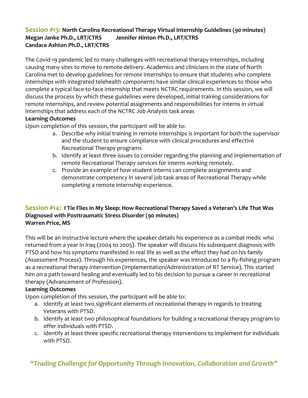#### **Session #13: North Carolina Recreational Therapy Virtual Internship Guidelines (90 minutes) Megan Janke Ph.D., LRT/CTRS Jennifer Hinton Ph.D., LRT/CTRS Candace Ashton Ph.D., LRT/CTRS**

The Covid-19 pandemic led to many challenges with recreational therapy internships, including causing many sites to move to remote delivery. Academics and clinicians in the state of North Carolina met to develop guidelines for remote internships to ensure that students who complete internships with integrated telehealth components have similar clinical experiences to those who complete a typical face-to-face internship that meets NCTRC requirements. In this session, we will discuss the process by which these guidelines were developed, initial training considerations for remote internships, and review potential assignments and responsibilities for interns in virtual internships that address each of the NCTRC Job Analysis task areas

#### **Learning Outcomes**

Upon completion of this session, the participant will be able to:

- a. Describe why initial training in remote internships is important for both the supervisor and the student to ensure compliance with clinical procedures and effective Recreational Therapy programs
- b. Identify at least three issues to consider regarding the planning and implementation of remote Recreational Therapy services for interns working remotely.
- c. Provide an example of how student interns can complete assignments and demonstrate competency in several job task areas of Recreational Therapy while completing a remote internship experience.

#### **Session #14: I Tie Flies in My Sleep: How Recreational Therapy Saved a Veteran's Life That Was Diagnosed with Posttraumatic Stress Disorder (90 minutes) Warren Price, MS**

This will be an instructive lecture where the speaker details his experience as a combat medic who returned from a year in Iraq (2004 to 2005). The speaker will discuss his subsequent diagnosis with PTSD and how his symptoms manifested in real life as well as the effect they had on his family (Assessment Process). Through his experiences, the speaker was introduced to a fly-fishing program as a recreational therapy intervention (Implementation/Administration of RT Service). This started him on a path toward healing and eventually led to his decision to pursue a career in recreational therapy (Advancement of Profession).

#### **Learning Outcomes**

Upon completion of this session, the participant will be able to:

- a. Identify at least two significant elements of recreational therapy in regards to treating Veterans with PTSD.
- b. Identify at least two philosophical foundations for building a recreational therapy program to offer individuals with PTSD.
- c. Identify at least three specific recreational therapy interventions to implement for individuals with PTSD.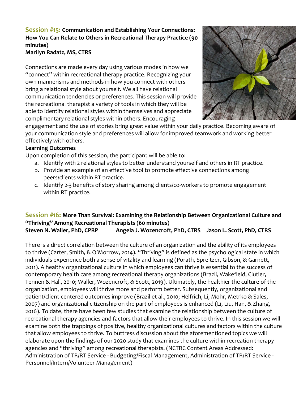#### **Session #15: Communication and Establishing Your Connections: How You Can Relate to Others in Recreational Therapy Practice (90 minutes)**

**Marilyn Radatz, MS, CTRS**

Connections are made every day using various modes in how we "connect" within recreational therapy practice. Recognizing your own mannerisms and methods in how you connect with others bring a relational style about yourself. We all have relational communication tendencies or preferences. This session will provide the recreational therapist a variety of tools in which they will be able to identify relational styles within themselves and appreciate complimentary relational styles within others. Encouraging



engagement and the use of stories bring great value within your daily practice. Becoming aware of your communication style and preferences will allow for improved teamwork and working better effectively with others.

#### **Learning Outcomes**

Upon completion of this session, the participant will be able to:

- a. Identify with 2 relational styles to better understand yourself and others in RT practice.
- b. Provide an example of an effective tool to promote effective connections among peers/clients within RT practice.
- c. Identify 2-3 benefits of story sharing among clients/co-workers to promote engagement within RT practice.

### **Session #16: More Than Survival: Examining the Relationship Between Organizational Culture and "Thriving" Among Recreational Therapists (60 minutes)**

**Steven N. Waller, PhD, CPRP Angela J. Wozencroft, PhD, CTRS Jason L. Scott, PhD, CTRS**

There is a direct correlation between the culture of an organization and the ability of its employees to thrive (Carter, Smith, & O'Morrow, 2014). "Thriving" is defined as the psychological state in which individuals experience both a sense of vitality and learning (Porath, Spreitzer, Gibson, & Garnett, 2011). A healthy organizational culture in which employees can thrive is essential to the success of contemporary health care among recreational therapy organizations (Brazil, Wakefield, Clutier, Tennen & Hall, 2010; Waller, Wozencroft, & Scott, 2019). Ultimately, the healthier the culture of the organization, employees will thrive more and perform better. Subsequently, organizational and patient/client-centered outcomes improve (Brazil et al., 2010; Helfrich, Li, Mohr, Metrko & Sales, 2007) and organizational citizenship on the part of employees is enhanced (Li, Liu, Han, & Zhang, 2016). To date, there have been few studies that examine the relationship between the culture of recreational therapy agencies and factors that allow their employees to thrive. In this session we will examine both the trappings of positive, healthy organizational cultures and factors within the culture that allow employees to thrive. To buttress discussion about the aforementioned topics we will elaborate upon the findings of our 2020 study that examines the culture within recreation therapy agencies and "thriving" among recreational therapists. (NCTRC Content Areas Addressed: Administration of TR/RT Service - Budgeting/Fiscal Management, Administration of TR/RT Service - Personnel/Intern/Volunteer Management)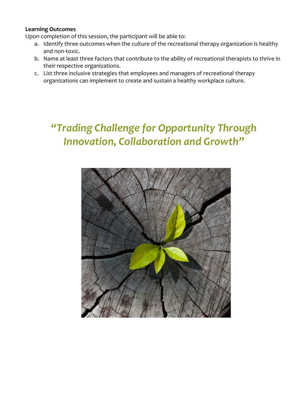#### **Learning Outcomes**

Upon completion of this session, the participant will be able to:

- a. Identify three outcomes when the culture of the recreational therapy organization is healthy and non-toxic.
- b. Name at least three factors that contribute to the ability of recreational therapists to thrive in their respective organizations.
- c. List three inclusive strategies that employees and managers of recreational therapy organizations can implement to create and sustain a healthy workplace culture.

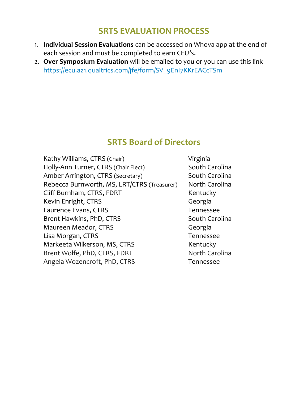# **SRTS EVALUATION PROCESS**

- 1. **Individual Session Evaluations** can be accessed on Whova app at the end of each session and must be completed to earn CEU's.
- 2. **Over Symposium Evaluation** will be emailed to you or you can use this link [https://ecu.az1.qualtrics.com/jfe/form/SV\\_9EnI7KKrEACcTSm](https://ecu.az1.qualtrics.com/jfe/form/SV_9EnI7KKrEACcTSm)

# **SRTS Board of Directors**

Kathy Williams, CTRS (Chair) Virginia Holly-Ann Turner, CTRS (Chair Elect) South Carolina Amber Arrington, CTRS (Secretary) South Carolina Rebecca Burnworth, MS, LRT/CTRS (Treasurer) North Carolina Cliff Burnham, CTRS, FDRT Kentucky Kevin Enright, CTRS Georgia Laurence Evans, CTRS Tennessee Brent Hawkins, PhD, CTRS South Carolina Maureen Meador, CTRS Georgia Lisa Morgan, CTRS Tennessee Markeeta Wilkerson, MS, CTRS Kentucky Brent Wolfe, PhD, CTRS, FDRT North Carolina Angela Wozencroft, PhD, CTRS Tennessee